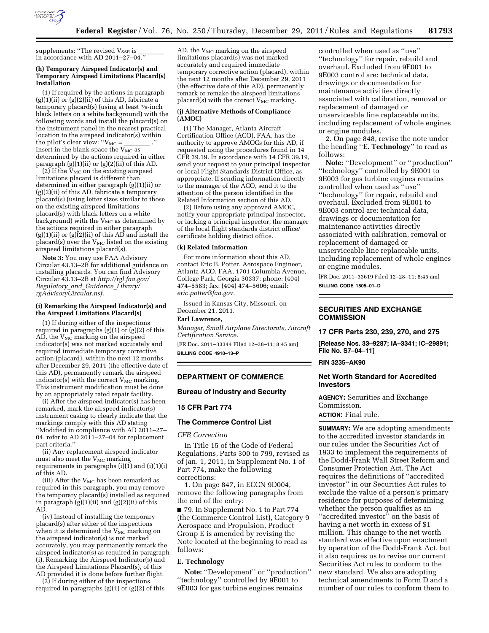

supplements: ''The revised V<sub>SSE</sub> is \_\_\_\_\_\_\_<br>in accordance with AD 2011–27–04.''

## **(h) Temporary Airspeed Indicator(s) and Temporary Airspeed Limitations Placard(s) Installation**

(1) If required by the actions in paragraph  $(g)(1)(ii)$  or  $(g)(2)(ii)$  of this AD, fabricate a temporary placard(s) (using at least 1⁄8-inch black letters on a white background) with the following words and install the placard(s) on the instrument panel in the nearest practical location to the airspeed indicator(s) within<br>the pilot's clear view: " $V_{MC} =$ "." the pilot's clear view: '' $V_{\rm MC}$  = \_\_\_\_\_\_\_\_\_\_\_ .'' Insert in the blank space the  $V_{\rm MC}$  as determined by the actions required in either paragraph  $(g)(1)(ii)$  or  $(g)(2)(ii)$  of this AD.

(2) If the  $V_{MC}$  on the existing airspeed limitations placard is different than determined in either paragraph (g)(1)(ii) or  $(g)(2)(ii)$  of this AD, fabricate a temporary placard(s) (using letter sizes similar to those on the existing airspeed limitations placard(s) with black letters on a white background) with the  $V_{MC}$  as determined by the actions required in either paragraph  $(g)(1)(ii)$  or  $(g)(2)(ii)$  of this AD and install the placard(s) over the  $V_{MC}$  listed on the existing airspeed limitations placard(s).

**Note 3:** You may use FAA Advisory Circular 43.13–2B for additional guidance on installing placards. You can find Advisory Circular 43.13–2B at *[http://rgl.faa.gov/](http://rgl.faa.gov/Regulatory_and_Guidance_Library/rgAdvisoryCircular.nsf) [Regulatory](http://rgl.faa.gov/Regulatory_and_Guidance_Library/rgAdvisoryCircular.nsf)*\_*and*\_*Guidance*\_*Library/ [rgAdvisoryCircular.nsf.](http://rgl.faa.gov/Regulatory_and_Guidance_Library/rgAdvisoryCircular.nsf)* 

#### **(i) Remarking the Airspeed Indicator(s) and the Airspeed Limitations Placard(s)**

(1) If during either of the inspections required in paragraphs (g)(1) or (g)(2) of this  $AD$ , the  $V_{MC}$  marking on the airspeed indicator(s) was not marked accurately and required immediate temporary corrective action (placard), within the next 12 months after December 29, 2011 (the effective date of this AD), permanently remark the airspeed indicator(s) with the correct  $V_{MC}$  marking. This instrument modification must be done by an appropriately rated repair facility.

(i) After the airspeed indicator(s) has been remarked, mark the airspeed indicator(s) instrument casing to clearly indicate that the markings comply with this AD stating ''Modified in compliance with AD 2011–27– 04, refer to AD 2011–27–04 for replacement part criteria.''

(ii) Any replacement airspeed indicator must also meet the  $V_{MC}$  marking requirements in paragraphs  $(i)(i)$  and  $(i)(1)(i)$ of this AD.

(iii) After the  $V_{MC}$  has been remarked as required in this paragraph, you may remove the temporary placard(s) installed as required in paragraph  $(g)(1)(ii)$  and  $(g)(2)(ii)$  of this AD.

(iv) Instead of installing the temporary placard(s) after either of the inspections when it is determined the  $V_{MC}$  marking on the airspeed indicator(s) is not marked accurately, you may permanently remark the airspeed indicator(s) as required in paragraph (i), Remarking the Airspeed Indicator(s) and the Airspeed Limitations Placard(s), of this AD provided it is done before further flight.

(2) If during either of the inspections required in paragraphs  $(g)(1)$  or  $(g)(2)$  of this

AD, the  $V_{MC}$  marking on the airspeed limitations placard(s) was not marked accurately and required immediate temporary corrective action (placard), within the next 12 months after December 29, 2011 (the effective date of this AD), permanently remark or remake the airspeed limitations placard(s) with the correct  $V_{MC}$  marking.

## **(j) Alternative Methods of Compliance (AMOC)**

(1) The Manager, Atlanta Aircraft Certification Office (ACO), FAA, has the authority to approve AMOCs for this AD, if requested using the procedures found in 14 CFR 39.19. In accordance with 14 CFR 39.19, send your request to your principal inspector or local Flight Standards District Office, as appropriate. If sending information directly to the manager of the ACO, send it to the attention of the person identified in the Related Information section of this AD.

(2) Before using any approved AMOC, notify your appropriate principal inspector, or lacking a principal inspector, the manager of the local flight standards district office/ certificate holding district office.

## **(k) Related Information**

For more information about this AD, contact Eric B. Potter, Aerospace Engineer, Atlanta ACO, FAA, 1701 Columbia Avenue, College Park, Georgia 30337; phone: (404) 474–5583; fax: (404) 474–5606; email: *[eric.potter@faa.gov.](mailto:eric.potter@faa.gov)* 

Issued in Kansas City, Missouri, on December 21, 2011.

#### **Earl Lawrence,**

*Manager, Small Airplane Directorate, Aircraft Certification Service.* 

[FR Doc. 2011–33344 Filed 12–28–11; 8:45 am] **BILLING CODE 4910–13–P** 

# **DEPARTMENT OF COMMERCE**

#### **Bureau of Industry and Security**

## **15 CFR Part 774**

# **The Commerce Control List**

*CFR Correction* 

In Title 15 of the Code of Federal Regulations, Parts 300 to 799, revised as of Jan. 1, 2011, in Supplement No. 1 of Part 774, make the following corrections:

1. On page 847, in ECCN 9D004, remove the following paragraphs from the end of the entry:

■ 79. In Supplement No. 1 to Part 774 (the Commerce Control List), Category 9 Aerospace and Propulsion, Product Group E is amended by revising the Note located at the beginning to read as follows:

# **E. Technology**

**Note:** ''Development'' or ''production'' ''technology'' controlled by 9E001 to 9E003 for gas turbine engines remains

controlled when used as ''use'' ''technology'' for repair, rebuild and overhaul. Excluded from 9E001 to 9E003 control are: technical data, drawings or documentation for maintenance activities directly associated with calibration, removal or replacement of damaged or unserviceable line replaceable units, including replacement of whole engines or engine modules.

2. On page 848, revise the note under the heading ''**E. Technology**'' to read as follows:

**Note:** ''Development'' or ''production'' ''technology'' controlled by 9E001 to 9E003 for gas turbine engines remains controlled when used as ''use'' ''technology'' for repair, rebuild and overhaul. Excluded from 9E001 to 9E003 control are: technical data, drawings or documentation for maintenance activities directly associated with calibration, removal or replacement of damaged or unserviceable line replaceable units, including replacement of whole engines or engine modules.

[FR Doc. 2011–33619 Filed 12–28–11; 8:45 am] **BILLING CODE 1505–01–D** 

# **SECURITIES AND EXCHANGE COMMISSION**

## **17 CFR Parts 230, 239, 270, and 275**

**[Release Nos. 33–9287; IA–3341; IC–29891; File No. S7–04–11]** 

**RIN 3235–AK90** 

# **Net Worth Standard for Accredited Investors**

**AGENCY:** Securities and Exchange Commission.

## **ACTION:** Final rule.

**SUMMARY:** We are adopting amendments to the accredited investor standards in our rules under the Securities Act of 1933 to implement the requirements of the Dodd-Frank Wall Street Reform and Consumer Protection Act. The Act requires the definitions of ''accredited investor'' in our Securities Act rules to exclude the value of a person's primary residence for purposes of determining whether the person qualifies as an ''accredited investor'' on the basis of having a net worth in excess of \$1 million. This change to the net worth standard was effective upon enactment by operation of the Dodd-Frank Act, but it also requires us to revise our current Securities Act rules to conform to the new standard. We also are adopting technical amendments to Form D and a number of our rules to conform them to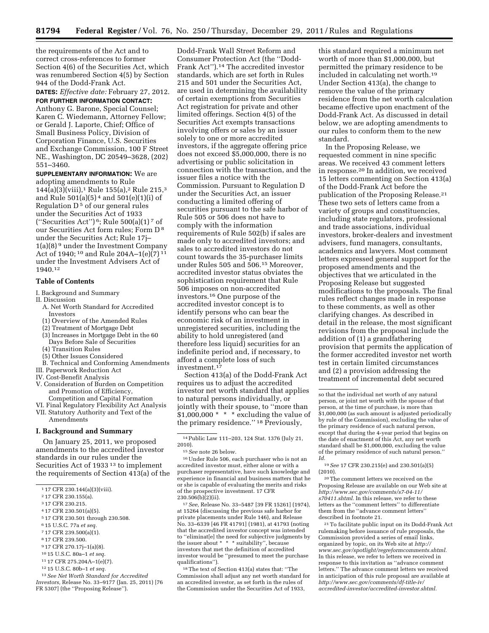the requirements of the Act and to correct cross-references to former Section 4(6) of the Securities Act, which was renumbered Section 4(5) by Section 944 of the Dodd-Frank Act.

**DATES:** *Effective date:* February 27, 2012.

**FOR FURTHER INFORMATION CONTACT:**  Anthony G. Barone, Special Counsel; Karen C. Wiedemann, Attorney Fellow; or Gerald J. Laporte, Chief; Office of Small Business Policy, Division of Corporation Finance, U.S. Securities and Exchange Commission, 100 F Street NE., Washington, DC 20549–3628, (202) 551–3460.

**SUPPLEMENTARY INFORMATION:** We are adopting amendments to Rule  $144(a)(3)(viii),$ <sup>1</sup> Rule 155(a),<sup>2</sup> Rule 215,<sup>3</sup> and Rule 501(a)(5) 4 and 501(e)(1)(i) of Regulation  $D<sup>5</sup>$  of our general rules under the Securities Act of 1933 ("Securities Act")<sup>6</sup>; Rule  $500(a)(1)$ <sup>7</sup> of our Securities Act form rules; Form D 8 under the Securities Act; Rule 17j– 1(a)(8) 9 under the Investment Company Act of 1940; 10 and Rule 204A–1(e)(7) 11 under the Investment Advisers Act of 1940.12

# **Table of Contents**

I. Background and Summary

- II. Discussion
	- A. Net Worth Standard for Accredited Investors
	- (1) Overview of the Amended Rules
	- (2) Treatment of Mortgage Debt
	- (3) Increases in Mortgage Debt in the 60 Days Before Sale of Securities
	- (4) Transition Rules
	- (5) Other Issues Considered
	- B. Technical and Conforming Amendments
- III. Paperwork Reduction Act
- IV. Cost-Benefit Analysis
- V. Consideration of Burden on Competition and Promotion of Efficiency, Competition and Capital Formation
- VI. Final Regulatory Flexibility Act Analysis
- VII. Statutory Authority and Text of the Amendments

## **I. Background and Summary**

On January 25, 2011, we proposed amendments to the accredited investor standards in our rules under the Securities Act of 1933 13 to implement the requirements of Section 413(a) of the

- 4 17 CFR 230.501(a)(5).
- 5 17 CFR 230.501 through 230.508.
- 6 15 U.S.C. 77a *et seq.*
- 7 17 CFR 239.500(a)(1).
- 8 17 CFR 239.500.
- 
- 9 17 CFR 270.17j–1(a)(8).
- 10 15 U.S.C. 80a–1 *et seq.*  11 17 CFR 275.204A–1(e)(7).
- 
- 12 15 U.S.C. 80b–1 *et seq.*
- 13*See Net Worth Standard for Accredited Investors,* Release No. 33–9177 (Jan. 25, 2011) [76 FR 5307] (the ''Proposing Release'').

Dodd-Frank Wall Street Reform and Consumer Protection Act (the ''Dodd-Frank Act'').14 The accredited investor standards, which are set forth in Rules 215 and 501 under the Securities Act, are used in determining the availability of certain exemptions from Securities Act registration for private and other limited offerings. Section 4(5) of the Securities Act exempts transactions involving offers or sales by an issuer solely to one or more accredited investors, if the aggregate offering price does not exceed \$5,000,000, there is no advertising or public solicitation in connection with the transaction, and the issuer files a notice with the Commission. Pursuant to Regulation D under the Securities Act, an issuer conducting a limited offering of securities pursuant to the safe harbor of Rule 505 or 506 does not have to comply with the information requirements of Rule 502(b) if sales are made only to accredited investors; and sales to accredited investors do not count towards the 35-purchaser limits under Rules 505 and 506.15 Moreover, accredited investor status obviates the sophistication requirement that Rule 506 imposes on non-accredited investors.16 One purpose of the accredited investor concept is to identify persons who can bear the economic risk of an investment in unregistered securities, including the ability to hold unregistered (and therefore less liquid) securities for an indefinite period and, if necessary, to afford a complete loss of such investment.17

Section 413(a) of the Dodd-Frank Act requires us to adjust the accredited investor net worth standard that applies to natural persons individually, or jointly with their spouse, to ''more than  $$1,000,000$  \* \* \* excluding the value of the primary residence.'' 18 Previously,

16Under Rule 506, each purchaser who is not an accredited investor must, either alone or with a purchaser representative, have such knowledge and experience in financial and business matters that he or she is capable of evaluating the merits and risks of the prospective investment. 17 CFR  $230.506(b)(2)(ii)$ .

17*See,* Release No. 33–5487 [39 FR 15261] (1974), at 15264 (discussing the previous safe harbor for private placements under Rule 146), and Release No. 33–6339 [46 FR 41791] (1981), at 41793 (noting that the accredited investor concept was intended to ''eliminat[e] the need for subjective judgments by the issuer about \* \* \* suitability'', because investors that met the definition of accredited investor would be ''presumed to meet the purchase qualifications'').

18The text of Section 413(a) states that: ''The Commission shall adjust any net worth standard for an accredited investor, as set forth in the rules of the Commission under the Securities Act of 1933,

this standard required a minimum net worth of more than \$1,000,000, but permitted the primary residence to be included in calculating net worth.19 Under Section 413(a), the change to remove the value of the primary residence from the net worth calculation became effective upon enactment of the Dodd-Frank Act. As discussed in detail below, we are adopting amendments to our rules to conform them to the new standard.

In the Proposing Release, we requested comment in nine specific areas. We received 43 comment letters in response.20 In addition, we received 15 letters commenting on Section 413(a) of the Dodd-Frank Act before the publication of the Proposing Release.21 These two sets of letters came from a variety of groups and constituencies, including state regulators, professional and trade associations, individual investors, broker-dealers and investment advisers, fund managers, consultants, academics and lawyers. Most comment letters expressed general support for the proposed amendments and the objectives that we articulated in the Proposing Release but suggested modifications to the proposals. The final rules reflect changes made in response to these comments, as well as other clarifying changes. As described in detail in the release, the most significant revisions from the proposal include the addition of (1) a grandfathering provision that permits the application of the former accredited investor net worth test in certain limited circumstances and (2) a provision addressing the treatment of incremental debt secured

19*See* 17 CFR 230.215(e) and 230.501(a)(5) (2010).

20The comment letters we received on the Proposing Release are available on our Web site at *[http://www.sec.gov/comments/s7-04-11/](http://www.sec.gov/comments/s7-04-11/s70411.shtml) [s70411.shtml.](http://www.sec.gov/comments/s7-04-11/s70411.shtml)* In this release, we refer to these letters as the ''comment letters'' to differentiate them from the ''advance comment letters'' described in footnote 21.

21To facilitate public input on its Dodd-Frank Act rulemaking before issuance of rule proposals, the Commission provided a series of email links, organized by topic, on its Web site at *[http://](http://www.sec.gov/spotlight/regreformcomments.shtml) [www.sec.gov/spotlight/regreformcomments.shtml.](http://www.sec.gov/spotlight/regreformcomments.shtml)*  In this release, we refer to letters we received in response to this invitation as ''advance comment letters.'' The advance comment letters we received in anticipation of this rule proposal are available at *[http://www.sec.gov/comments/df-title-iv/](http://www.sec.gov/comments/df-title-iv/accredited-investor/accredited-investor.shtml) [accredited-investor/accredited-investor.shtml.](http://www.sec.gov/comments/df-title-iv/accredited-investor/accredited-investor.shtml)* 

<sup>1</sup> 17 CFR 230.144(a)(3)(viii).

<sup>2</sup> 17 CFR 230.155(a).

<sup>3</sup> 17 CFR 230.215.

<sup>14</sup>Public Law 111–203, 124 Stat. 1376 (July 21, 2010).

<sup>15</sup>*See* note 26 below.

so that the individual net worth of any natural person, or joint net worth with the spouse of that person, at the time of purchase, is more than \$1,000,000 (as such amount is adjusted periodically by rule of the Commission), excluding the value of the primary residence of such natural person, except that during the 4-year period that begins on the date of enactment of this Act, any net worth standard shall be \$1,000,000, excluding the value of the primary residence of such natural person.'' *Id.*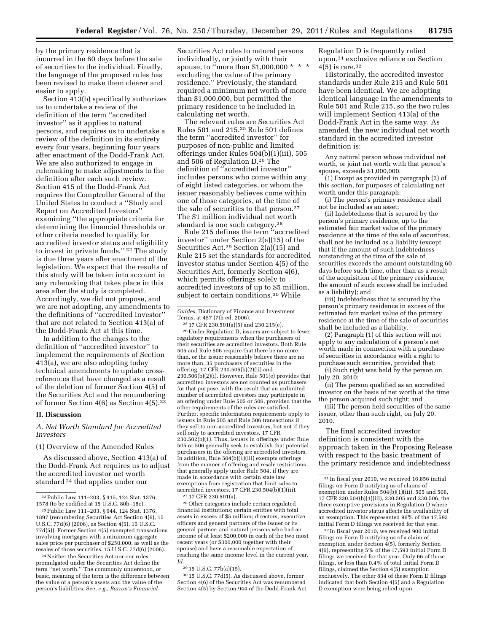by the primary residence that is incurred in the 60 days before the sale of securities to the individual. Finally, the language of the proposed rules has been revised to make them clearer and easier to apply.

Section 413(b) specifically authorizes us to undertake a review of the definition of the term ''accredited investor'' as it applies to natural persons, and requires us to undertake a review of the definition in its entirety every four years, beginning four years after enactment of the Dodd-Frank Act. We are also authorized to engage in rulemaking to make adjustments to the definition after each such review. Section 415 of the Dodd-Frank Act requires the Comptroller General of the United States to conduct a ''Study and Report on Accredited Investors'' examining ''the appropriate criteria for determining the financial thresholds or other criteria needed to qualify for accredited investor status and eligibility to invest in private funds.'' 22 The study is due three years after enactment of the legislation. We expect that the results of this study will be taken into account in any rulemaking that takes place in this area after the study is completed. Accordingly, we did not propose, and we are not adopting, any amendments to the definitions of ''accredited investor'' that are not related to Section 413(a) of the Dodd-Frank Act at this time.

In addition to the changes to the definition of ''accredited investor'' to implement the requirements of Section 413(a), we are also adopting today technical amendments to update crossreferences that have changed as a result of the deletion of former Section 4(5) of the Securities Act and the renumbering of former Section 4(6) as Section 4(5).23

#### **II. Discussion**

*A. Net Worth Standard for Accredited Investors* 

# (1) Overview of the Amended Rules

As discussed above, Section 413(a) of the Dodd-Frank Act requires us to adjust the accredited investor net worth standard 24 that applies under our

24Neither the Securities Act nor our rules promulgated under the Securities Act define the term ''net worth.'' The commonly understood, or basic, meaning of the term is the difference between the value of a person's assets and the value of the person's liabilities. See, *e.g., Barron's Financial* 

Securities Act rules to natural persons individually, or jointly with their spouse, to "more than  $$1,000,000$   $*$ excluding the value of the primary residence.'' Previously, the standard required a minimum net worth of more than \$1,000,000, but permitted the primary residence to be included in calculating net worth.

The relevant rules are Securities Act Rules 501 and 215.25 Rule 501 defines the term ''accredited investor'' for purposes of non-public and limited offerings under Rules 504(b)(1)(iii), 505 and 506 of Regulation D.26 The definition of ''accredited investor'' includes persons who come within any of eight listed categories, or whom the issuer reasonably believes come within one of those categories, at the time of the sale of securities to that person.27 The \$1 million individual net worth standard is one such category.28

Rule 215 defines the term ''accredited investor'' under Section 2(a)(15) of the Securities Act.29 Section 2(a)(15) and Rule 215 set the standards for accredited investor status under Section 4(5) of the Securities Act, formerly Section 4(6), which permits offerings solely to accredited investors of up to \$5 million, subject to certain conditions.<sup>30</sup> While

25 17 CFR 230.501(a)(5) and 230.215(e).

26Under Regulation D, issuers are subject to fewer regulatory requirements when the purchasers of their securities are accredited investors. Both Rule 505 and Rule 506 require that there be no more than, or the issuer reasonably believe there are no more than, 35 purchasers of securities in the offering. 17 CFR 230.505(b)(2)(ii) and 230.506(b)(2)(i). However, Rule 501(e) provides that accredited investors are not counted as purchasers for that purpose, with the result that an unlimited number of accredited investors may participate in an offering under Rule 505 or 506, provided that the other requirements of the rules are satisfied. Further, specific information requirements apply to issuers in Rule 505 and Rule 506 transactions if they sell to non-accredited investors, but not if they sell only to accredited investors. 17 CFR 230.502(b)(1). Thus, issuers in offerings under Rule 505 or 506 generally seek to establish that potential purchasers in the offering are accredited investors. In addition, Rule  $504(b)(1)(iii)$  exempts offerings from the manner of offering and resale restrictions that generally apply under Rule 504, if they are made in accordance with certain state law exemptions from registration that limit sales to accredited investors. 17 CFR 230.504(b)(1)(iii). 27 17 CFR 230.501(a).

28Other categories include certain regulated financial institutions; certain entities with total assets in excess of \$5 million; directors, executive officers and general partners of the issuer or its general partner; and natural persons who had an income of at least \$200,000 in each of the two most recent years (or \$300,000 together with their spouse) and have a reasonable expectation of reaching the same income level in the current year. *Id.* 

29 15 U.S.C. 77b(a)(15).

30 15 U.S.C. 77d(5). As discussed above, former Section 4(6) of the Securities Act was renumbered Section 4(5) by Section 944 of the Dodd-Frank Act. Regulation D is frequently relied upon,31 exclusive reliance on Section  $4(5)$  is rare.<sup>32</sup>

Historically, the accredited investor standards under Rule 215 and Rule 501 have been identical. We are adopting identical language in the amendments to Rule 501 and Rule 215, so the two rules will implement Section 413(a) of the Dodd-Frank Act in the same way. As amended, the new individual net worth standard in the accredited investor definition is:

Any natural person whose individual net worth, or joint net worth with that person's spouse, exceeds \$1,000,000.

(1) Except as provided in paragraph (2) of this section, for purposes of calculating net worth under this paragraph:

(i) The person's primary residence shall not be included as an asset;

(ii) Indebtedness that is secured by the person's primary residence, up to the estimated fair market value of the primary residence at the time of the sale of securities, shall not be included as a liability (except that if the amount of such indebtedness outstanding at the time of the sale of securities exceeds the amount outstanding 60 days before such time, other than as a result of the acquisition of the primary residence, the amount of such excess shall be included as a liability); and

(iii) Indebtedness that is secured by the person's primary residence in excess of the estimated fair market value of the primary residence at the time of the sale of securities shall be included as a liability.

(2) Paragraph (1) of this section will not apply to any calculation of a person's net worth made in connection with a purchase of securities in accordance with a right to purchase such securities, provided that: (i) Such right was held by the person on July 20, 2010;

(ii) The person qualified as an accredited investor on the basis of net worth at the time the person acquired such right; and

(iii) The person held securities of the same issuer, other than such right, on July 20, 2010.

The final accredited investor definition is consistent with the approach taken in the Proposing Release with respect to the basic treatment of the primary residence and indebtedness

32 In fiscal year 2010, we received 900 initial filings on Form D notifying us of a claim of exemption under Section 4(5), formerly Section 4(6), representing 5% of the 17,593 initial Form D filings we received for that year. Only 66 of those filings, or less than 0.4% of total initial Form D filings, claimed the Section 4(5) exemption exclusively. The other 834 of these Form D filings indicated that both Section 4(5) and a Regulation D exemption were being relied upon.

<sup>22</sup>Public Law 111–203, § 415, 124 Stat. 1376, 1578 (to be codified at 15 U.S.C. 80b–18c).

<sup>23</sup>Public Law 111–203, § 944, 124 Stat. 1376, 1897 (renumbering Securities Act Section 4(6), 15 U.S.C. 77d(6) (2006), as Section 4(5), 15 U.S.C. 77d(5)). Former Section 4(5) exempted transactions involving mortgages with a minimum aggregate sales price per purchaser of \$250,000, as well as the resales of those securities. 15 U.S.C. 77d(6) (2006).

*Guides,* Dictionary of Finance and Investment Terms, at 457 (7th ed. 2006).

<sup>31</sup> In fiscal year 2010, we received 16,856 initial filings on Form D notifying us of claims of exemption under Rules 504(b)(1)(iii), 505 and 506, 17 CFR 230.504(b)(1)(iii), 230.505 and 230.506, the three exemptive provisions in Regulation D where accredited investor status affects the availability of an exemption. This represented 96% of the 17,593 initial Form D filings we received for that year.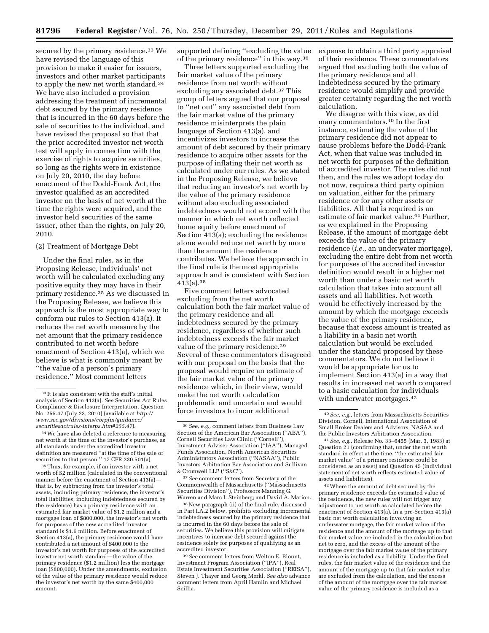secured by the primary residence.<sup>33</sup> We have revised the language of this provision to make it easier for issuers, investors and other market participants to apply the new net worth standard.<sup>34</sup> We have also included a provision addressing the treatment of incremental debt secured by the primary residence that is incurred in the 60 days before the sale of securities to the individual, and have revised the proposal so that that the prior accredited investor net worth test will apply in connection with the exercise of rights to acquire securities, so long as the rights were in existence on July 20, 2010, the day before enactment of the Dodd-Frank Act, the investor qualified as an accredited investor on the basis of net worth at the time the rights were acquired, and the investor held securities of the same issuer, other than the rights, on July 20, 2010.

# (2) Treatment of Mortgage Debt

Under the final rules, as in the Proposing Release, individuals' net worth will be calculated excluding any positive equity they may have in their primary residence.35 As we discussed in the Proposing Release, we believe this approach is the most appropriate way to conform our rules to Section 413(a). It reduces the net worth measure by the net amount that the primary residence contributed to net worth before enactment of Section 413(a), which we believe is what is commonly meant by ''the value of a person's primary residence.'' Most comment letters

35Thus, for example, if an investor with a net worth of \$2 million (calculated in the conventional manner before the enactment of Section 413(a)that is, by subtracting from the investor's total assets, including primary residence, the investor's total liabilities, including indebtedness secured by the residence) has a primary residence with an estimated fair market value of \$1.2 million and a mortgage loan of \$800,000, the investor's net worth for purposes of the new accredited investor standard is \$1.6 million. Before enactment of Section 413(a), the primary residence would have contributed a net amount of \$400,000 to the investor's net worth for purposes of the accredited investor net worth standard—the value of the primary residence (\$1.2 million) less the mortgage loan (\$800,000). Under the amendments, exclusion of the value of the primary residence would reduce the investor's net worth by the same \$400,000 amount.

supported defining ''excluding the value of the primary residence'' in this way.36

Three letters supported excluding the fair market value of the primary residence from net worth without excluding any associated debt.37 This group of letters argued that our proposal to ''net out'' any associated debt from the fair market value of the primary residence misinterprets the plain language of Section 413(a), and incentivizes investors to increase the amount of debt secured by their primary residence to acquire other assets for the purpose of inflating their net worth as calculated under our rules. As we stated in the Proposing Release, we believe that reducing an investor's net worth by the value of the primary residence without also excluding associated indebtedness would not accord with the manner in which net worth reflected home equity before enactment of Section 413(a); excluding the residence alone would reduce net worth by more than the amount the residence contributes. We believe the approach in the final rule is the most appropriate approach and is consistent with Section 413(a).38

Five comment letters advocated excluding from the net worth calculation both the fair market value of the primary residence and all indebtedness secured by the primary residence, regardless of whether such indebtedness exceeds the fair market value of the primary residence.<sup>39</sup> Several of these commentators disagreed with our proposal on the basis that the proposal would require an estimate of the fair market value of the primary residence which, in their view, would make the net worth calculation problematic and uncertain and would force investors to incur additional

37*See* comment letters from Secretary of the Commonwealth of Massachusetts (''Massachusetts Securities Division''), Professors Manning G. Warren and Marc I. Steinberg; and David A. Marion.

38New paragraph (ii) of the final rule, discussed in Part I.A.2 below, prohibits excluding incremental indebtedness secured by the primary residence that is incurred in the 60 days before the sale of securities. We believe this provision will mitigate incentives to increase debt secured against the residence solely for purposes of qualifying as an accredited investor.

39*See* comment letters from Welton E. Blount, Investment Program Association (''IPA''), Real Estate Investment Securities Association (''REISA''), Steven J. Thayer and Georg Merkl. *See also* advance comment letters from April Hamlin and Michael Scillia.

expense to obtain a third party appraisal of their residence. These commentators argued that excluding both the value of the primary residence and all indebtedness secured by the primary residence would simplify and provide greater certainty regarding the net worth calculation.

We disagree with this view, as did many commentators.40 In the first instance, estimating the value of the primary residence did not appear to cause problems before the Dodd-Frank Act, when that value was included in net worth for purposes of the definition of accredited investor. The rules did not then, and the rules we adopt today do not now, require a third party opinion on valuation, either for the primary residence or for any other assets or liabilities. All that is required is an estimate of fair market value.41 Further, as we explained in the Proposing Release, if the amount of mortgage debt exceeds the value of the primary residence (*i.e.,* an underwater mortgage), excluding the entire debt from net worth for purposes of the accredited investor definition would result in a higher net worth than under a basic net worth calculation that takes into account all assets and all liabilities. Net worth would be effectively increased by the amount by which the mortgage exceeds the value of the primary residence, because that excess amount is treated as a liability in a basic net worth calculation but would be excluded under the standard proposed by these commentators. We do not believe it would be appropriate for us to implement Section 413(a) in a way that results in increased net worth compared to a basic calculation for individuals with underwater mortgages.<sup>42</sup>

42Where the amount of debt secured by the primary residence exceeds the estimated value of the residence, the new rules will not trigger any adjustment to net worth as calculated before the enactment of Section 413(a). In a pre-Section 413(a) basic net worth calculation involving an underwater mortgage, the fair market value of the residence and the amount of the mortgage up to that fair market value are included in the calculation but net to zero, and the excess of the amount of the mortgage over the fair market value of the primary residence is included as a liability. Under the final rules, the fair market value of the residence and the amount of the mortgage up to that fair market value are excluded from the calculation, and the excess of the amount of the mortgage over the fair market value of the primary residence is included as a

<sup>33</sup> It is also consistent with the staff's initial analysis of Section 413(a). *See* Securities Act Rules Compliance & Disclosure Interpretation, Question No. 255.47 (July 23, 2010) (available at *[http://](http://www.sec.gov/divisions/corpfin/guidance/securitiesactrules-interps.htm#255.47)  [www.sec.gov/divisions/corpfin/guidance/](http://www.sec.gov/divisions/corpfin/guidance/securitiesactrules-interps.htm#255.47) [securitiesactrules-interps.htm#255.47](http://www.sec.gov/divisions/corpfin/guidance/securitiesactrules-interps.htm#255.47)*).

 $^{\rm 34}\, \rm{We}$  have also deleted a reference to measuring net worth at the time of the investor's purchase, as all standards under the accredited investor definition are measured ''at the time of the sale of securities to that person.'' 17 CFR 230.501(a).

<sup>36</sup>*See, e.g.,* comment letters from Business Law Section of the American Bar Association (''ABA''), Cornell Securities Law Clinic (''Cornell''), Investment Adviser Association (''IAA''), Managed Funds Association, North American Securities Administrators Association (''NASAA''), Public Investors Arbitration Bar Association and Sullivan & Cromwell LLP (''S&C'').

<sup>40</sup>*See, e.g.,* letters from Massachusetts Securities Division, Cornell, International Association of Small Broker Dealers and Advisors, NASAA and the Public Investors Arbitration Association.

<sup>41</sup>*See, e.g.,* Release No. 33–6455 (Mar. 3, 1983) at Question 21 (confirming that, under the net worth standard in effect at the time, ''the estimated fair market value'' of a primary residence could be considered as an asset) and Question 45 (individual statement of net worth reflects estimated value of assets and liabilities).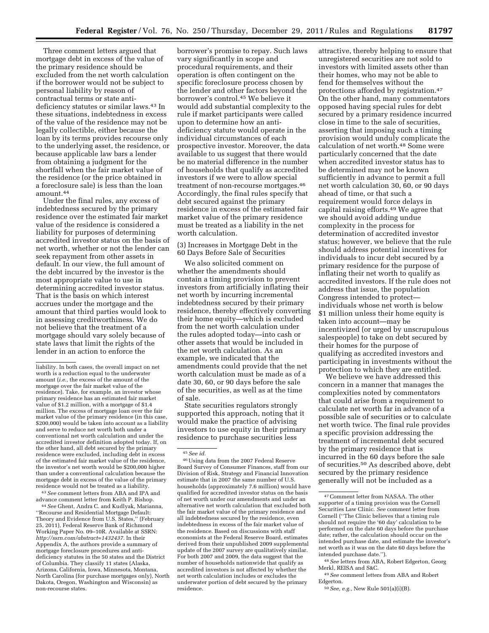Three comment letters argued that mortgage debt in excess of the value of the primary residence should be excluded from the net worth calculation if the borrower would not be subject to personal liability by reason of contractual terms or state antideficiency statutes or similar laws.43 In these situations, indebtedness in excess of the value of the residence may not be legally collectible, either because the loan by its terms provides recourse only to the underlying asset, the residence, or because applicable law bars a lender from obtaining a judgment for the shortfall when the fair market value of the residence (or the price obtained in a foreclosure sale) is less than the loan amount.44

Under the final rules, any excess of indebtedness secured by the primary residence over the estimated fair market value of the residence is considered a liability for purposes of determining accredited investor status on the basis of net worth, whether or not the lender can seek repayment from other assets in default. In our view, the full amount of the debt incurred by the investor is the most appropriate value to use in determining accredited investor status. That is the basis on which interest accrues under the mortgage and the amount that third parties would look to in assessing creditworthiness. We do not believe that the treatment of a mortgage should vary solely because of state laws that limit the rights of the lender in an action to enforce the

43*See* comment letters from ABA and IPA and advance comment letter from Keith P. Bishop.

44*See* Ghent, Andra C. and Kudlyak, Marianna, ''Recourse and Residential Mortgage Default: Theory and Evidence from U.S. States,'' (February 25, 2011), Federal Reserve Bank of Richmond Working Paper No. 09–10R. Available at SSRN: *[http://ssrn.com/abstract=1432437.](http://ssrn.com/abstract=1432437)* In their Appendix A, the authors provide a summary of mortgage foreclosure procedures and antideficiency statutes in the 50 states and the District of Columbia. They classify 11 states (Alaska, Arizona, California, Iowa, Minnesota, Montana, North Carolina (for purchase mortgages only), North Dakota, Oregon, Washington and Wisconsin) as non-recourse states.

borrower's promise to repay. Such laws vary significantly in scope and procedural requirements, and their operation is often contingent on the specific foreclosure process chosen by the lender and other factors beyond the borrower's control.45 We believe it would add substantial complexity to the rule if market participants were called upon to determine how an antideficiency statute would operate in the individual circumstances of each prospective investor. Moreover, the data available to us suggest that there would be no material difference in the number of households that qualify as accredited investors if we were to allow special treatment of non-recourse mortgages.46 Accordingly, the final rules specify that debt secured against the primary residence in excess of the estimated fair market value of the primary residence must be treated as a liability in the net worth calculation.

(3) Increases in Mortgage Debt in the 60 Days Before Sale of Securities

We also solicited comment on whether the amendments should contain a timing provision to prevent investors from artificially inflating their net worth by incurring incremental indebtedness secured by their primary residence, thereby effectively converting their home equity—which is excluded from the net worth calculation under the rules adopted today—into cash or other assets that would be included in the net worth calculation. As an example, we indicated that the amendments could provide that the net worth calculation must be made as of a date 30, 60, or 90 days before the sale of the securities, as well as at the time of sale.

State securities regulators strongly supported this approach, noting that it would make the practice of advising investors to use equity in their primary residence to purchase securities less

46Using data from the 2007 Federal Reserve Board Survey of Consumer Finances, staff from our Division of Risk, Strategy and Financial Innovation estimate that in 2007 the same number of U.S. households (approximately 7.6 million) would have qualified for accredited investor status on the basis of net worth under our amendments and under an alternative net worth calculation that excluded both the fair market value of the primary residence and all indebtedness secured by the residence, even indebtedness in excess of the fair market value of the residence. Based on discussions with staff economists at the Federal Reserve Board, estimates derived from their unpublished 2009 supplemental update of the 2007 survey are qualitatively similar. For both 2007 and 2009, the data suggest that the number of households nationwide that qualify as accredited investors is not affected by whether the net worth calculation includes or excludes the underwater portion of debt secured by the primary residence.

attractive, thereby helping to ensure that unregistered securities are not sold to investors with limited assets other than their homes, who may not be able to fend for themselves without the protections afforded by registration.47 On the other hand, many commentators opposed having special rules for debt secured by a primary residence incurred close in time to the sale of securities, asserting that imposing such a timing provision would unduly complicate the calculation of net worth.48 Some were particularly concerned that the date when accredited investor status has to be determined may not be known sufficiently in advance to permit a full net worth calculation 30, 60, or 90 days ahead of time, or that such a requirement would force delays in capital raising efforts.49 We agree that we should avoid adding undue complexity in the process for determination of accredited investor status; however, we believe that the rule should address potential incentives for individuals to incur debt secured by a primary residence for the purpose of inflating their net worth to qualify as accredited investors. If the rule does not address that issue, the population Congress intended to protect individuals whose net worth is below \$1 million unless their home equity is taken into account—may be incentivized (or urged by unscrupulous salespeople) to take on debt secured by their homes for the purpose of qualifying as accredited investors and participating in investments without the protection to which they are entitled.

We believe we have addressed this concern in a manner that manages the complexities noted by commentators that could arise from a requirement to calculate net worth far in advance of a possible sale of securities or to calculate net worth twice. The final rule provides a specific provision addressing the treatment of incremental debt secured by the primary residence that is incurred in the 60 days before the sale of securities.50 As described above, debt secured by the primary residence generally will not be included as a

liability. In both cases, the overall impact on net worth is a reduction equal to the underwater amount (*i.e.,* the excess of the amount of the mortgage over the fair market value of the residence). Take, for example, an investor whose primary residence has an estimated fair market value of \$1.2 million, with a mortgage of \$1.4 million. The excess of mortgage loan over the fair market value of the primary residence (in this case, \$200,000) would be taken into account as a liability and serve to reduce net worth both under a conventional net worth calculation and under the accredited investor definition adopted today. If, on the other hand, all debt secured by the primary residence were excluded, including debt in excess of the estimated fair market value of the residence, the investor's net worth would be \$200,000 higher than under a conventional calculation because the mortgage debt in excess of the value of the primary residence would not be treated as a liability.

<sup>45</sup>*See id.* 

<sup>47</sup>Comment letter from NASAA. The other supporter of a timing provision was the Cornell Securities Law Clinic. *See* comment letter from Cornell (''The Clinic believes that a timing rule should not require the '60 day' calculation to be performed on the date 60 days before the purchase date; rather, the calculation should occur on the intended purchase date, and estimate the investor's net worth as it was on the date 60 days before the intended purchase date.'').

<sup>48</sup>*See* letters from ABA, Robert Edgerton, Georg Merkl, REISA and S&C.

<sup>49</sup>*See* comment letters from ABA and Robert Edgerton.

<sup>50</sup>*See, e.g.,* New Rule 501(a)(i)(B).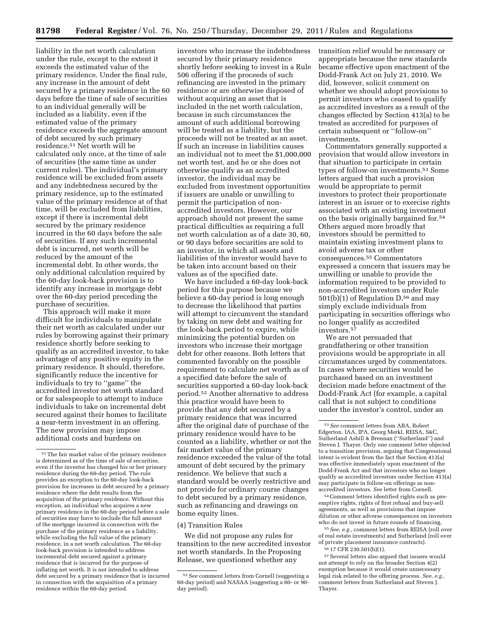liability in the net worth calculation under the rule, except to the extent it exceeds the estimated value of the primary residence. Under the final rule, any increase in the amount of debt secured by a primary residence in the 60 days before the time of sale of securities to an individual generally will be included as a liability, even if the estimated value of the primary residence exceeds the aggregate amount of debt secured by such primary residence.51 Net worth will be calculated only once, at the time of sale of securities (the same time as under current rules). The individual's primary residence will be excluded from assets and any indebtedness secured by the primary residence, up to the estimated value of the primary residence at of that time, will be excluded from liabilities, except if there is incremental debt secured by the primary residence incurred in the 60 days before the sale of securities. If any such incremental debt is incurred, net worth will be reduced by the amount of the incremental debt. In other words, the only additional calculation required by the 60-day look-back provision is to identify any increase in mortgage debt over the 60-day period preceding the purchase of securities.

This approach will make it more difficult for individuals to manipulate their net worth as calculated under our rules by borrowing against their primary residence shortly before seeking to qualify as an accredited investor, to take advantage of any positive equity in the primary residence. It should, therefore, significantly reduce the incentive for individuals to try to ''game'' the accredited investor net worth standard or for salespeople to attempt to induce individuals to take on incremental debt secured against their homes to facilitate a near-term investment in an offering. The new provision may impose additional costs and burdens on

investors who increase the indebtedness secured by their primary residence shortly before seeking to invest in a Rule 506 offering if the proceeds of such refinancing are invested in the primary residence or are otherwise disposed of without acquiring an asset that is included in the net worth calculation, because in such circumstances the amount of such additional borrowing will be treated as a liability, but the proceeds will not be treated as an asset. If such an increase in liabilities causes an individual not to meet the \$1,000,000 net worth test, and he or she does not otherwise qualify as an accredited investor, the individual may be excluded from investment opportunities if issuers are unable or unwilling to permit the participation of nonaccredited investors. However, our approach should not present the same practical difficulties as requiring a full net worth calculation as of a date 30, 60, or 90 days before securities are sold to an investor, in which all assets and liabilities of the investor would have to be taken into account based on their values as of the specified date.

We have included a 60-day look-back period for this purpose because we believe a 60-day period is long enough to decrease the likelihood that parties will attempt to circumvent the standard by taking on new debt and waiting for the look-back period to expire, while minimizing the potential burden on investors who increase their mortgage debt for other reasons. Both letters that commented favorably on the possible requirement to calculate net worth as of a specified date before the sale of securities supported a 60-day look-back period.52 Another alternative to address this practice would have been to provide that any debt secured by a primary residence that was incurred after the original date of purchase of the primary residence would have to be counted as a liability, whether or not the fair market value of the primary residence exceeded the value of the total amount of debt secured by the primary residence. We believe that such a standard would be overly restrictive and not provide for ordinary course changes to debt secured by a primary residence, such as refinancing and drawings on home equity lines.

#### (4) Transition Rules

We did not propose any rules for transition to the new accredited investor net worth standards. In the Proposing Release, we questioned whether any

transition relief would be necessary or appropriate because the new standards became effective upon enactment of the Dodd-Frank Act on July 21, 2010. We did, however, solicit comment on whether we should adopt provisions to permit investors who ceased to qualify as accredited investors as a result of the changes effected by Section 413(a) to be treated as accredited for purposes of certain subsequent or ''follow-on'' investments.

Commentators generally supported a provision that would allow investors in that situation to participate in certain types of follow-on investments.53 Some letters argued that such a provision would be appropriate to permit investors to protect their proportionate interest in an issuer or to exercise rights associated with an existing investment on the basis originally bargained for.54 Others argued more broadly that investors should be permitted to maintain existing investment plans to avoid adverse tax or other consequences.55 Commentators expressed a concern that issuers may be unwilling or unable to provide the information required to be provided to non-accredited investors under Rule 501(b)(1) of Regulation D,56 and may simply exclude individuals from participating in securities offerings who no longer qualify as accredited investors.57

We are not persuaded that grandfathering or other transition provisions would be appropriate in all circumstances urged by commentators. In cases where securities would be purchased based on an investment decision made before enactment of the Dodd-Frank Act (for example, a capital call that is not subject to conditions under the investor's control, under an

54Comment letters identified rights such as preemptive rights, rights of first refusal and buy-sell agreements, as well as provisions that impose dilution or other adverse consequences on investors who do not invest in future rounds of financing.

55*See, e.g.,* comment letters from REISA (roll over of real estate investments) and Sutherland (roll over of private placement insurance contracts).

56 17 CFR 230.501(b)(1).

57Several letters also argued that issuers would not attempt to rely on the broader Section 4(2) exemption because it would create unnecessary legal risk related to the offering process. *See, e.g.,*  comment letters from Sutherland and Steven J. Thayer.

<sup>51</sup>The fair market value of the primary residence is determined as of the time of sale of securities, even if the investor has changed his or her primary residence during the 60-day period. The rule provides an exception to the 60-day look-back provision for increases in debt secured by a primary residence where the debt results from the acquisition of the primary residence. Without this exception, an individual who acquires a new primary residence in the 60-day period before a sale of securities may have to include the full amount of the mortgage incurred in connection with the purchase of the primary residence as a liability, while excluding the full value of the primary residence, in a net worth calculation. The 60-day look-back provision is intended to address incremental debt secured against a primary residence that is incurred for the purpose of inflating net worth. It is not intended to address debt secured by a primary residence that is incurred in connection with the acquisition of a primary residence within the 60-day period.

<sup>52</sup>*See* comment letters from Cornell (suggesting a 60-day period) and NASAA (suggesting a 60- or 90 day period).

<sup>53</sup>*See* comment letters from ABA, Robert Edgerton, IAA, IPA, Georg Merkl, REISA, S&C, Sutherland Asbill & Brennan (''Sutherland'') and Steven J. Thayer. Only one comment letter objected to a transition provision, arguing that Congressional intent is evident from the fact that Section 413(a) was effective immediately upon enactment of the Dodd-Frank Act and that investors who no longer qualify as accredited investors under Section 413(a) may participate in follow-on offerings as nonaccredited investors. *See* letter from Cornell.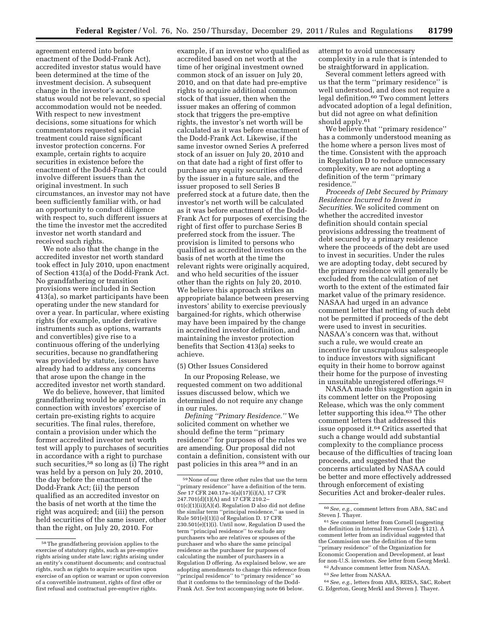agreement entered into before enactment of the Dodd-Frank Act), accredited investor status would have been determined at the time of the investment decision. A subsequent change in the investor's accredited status would not be relevant, so special accommodation would not be needed. With respect to new investment decisions, some situations for which commentators requested special treatment could raise significant investor protection concerns. For example, certain rights to acquire securities in existence before the enactment of the Dodd-Frank Act could involve different issuers than the original investment. In such circumstances, an investor may not have been sufficiently familiar with, or had an opportunity to conduct diligence with respect to, such different issuers at the time the investor met the accredited investor net worth standard and received such rights.

We note also that the change in the accredited investor net worth standard took effect in July 2010, upon enactment of Section 413(a) of the Dodd-Frank Act. No grandfathering or transition provisions were included in Section 413(a), so market participants have been operating under the new standard for over a year. In particular, where existing rights (for example, under derivative instruments such as options, warrants and convertibles) give rise to a continuous offering of the underlying securities, because no grandfathering was provided by statute, issuers have already had to address any concerns that arose upon the change in the accredited investor net worth standard.

We do believe, however, that limited grandfathering would be appropriate in connection with investors' exercise of certain pre-existing rights to acquire securities. The final rules, therefore, contain a provision under which the former accredited investor net worth test will apply to purchases of securities in accordance with a right to purchase such securities,<sup>58</sup> so long as (i) The right was held by a person on July 20, 2010, the day before the enactment of the Dodd-Frank Act; (ii) the person qualified as an accredited investor on the basis of net worth at the time the right was acquired; and (iii) the person held securities of the same issuer, other than the right, on July 20, 2010. For

example, if an investor who qualified as accredited based on net worth at the time of her original investment owned common stock of an issuer on July 20, 2010, and on that date had pre-emptive rights to acquire additional common stock of that issuer, then when the issuer makes an offering of common stock that triggers the pre-emptive rights, the investor's net worth will be calculated as it was before enactment of the Dodd-Frank Act. Likewise, if the same investor owned Series A preferred stock of an issuer on July 20, 2010 and on that date had a right of first offer to purchase any equity securities offered by the issuer in a future sale, and the issuer proposed to sell Series B preferred stock at a future date, then the investor's net worth will be calculated as it was before enactment of the Dodd-Frank Act for purposes of exercising the right of first offer to purchase Series B preferred stock from the issuer. The provision is limited to persons who qualified as accredited investors on the basis of net worth at the time the relevant rights were originally acquired, and who held securities of the issuer other than the rights on July 20, 2010. We believe this approach strikes an appropriate balance between preserving investors' ability to exercise previously bargained-for rights, which otherwise may have been impaired by the change in accredited investor definition, and maintaining the investor protection benefits that Section 413(a) seeks to achieve.

#### (5) Other Issues Considered

In our Proposing Release, we requested comment on two additional issues discussed below, which we determined do not require any change in our rules.

*Defining ''Primary Residence.''* We solicited comment on whether we should define the term ''primary residence'' for purposes of the rules we are amending. Our proposal did not contain a definition, consistent with our past policies in this area 59 and in an

attempt to avoid unnecessary complexity in a rule that is intended to be straightforward in application.

Several comment letters agreed with us that the term ''primary residence'' is well understood, and does not require a legal definition.60 Two comment letters advocated adoption of a legal definition, but did not agree on what definition should apply.61

We believe that "primary residence" has a commonly understood meaning as the home where a person lives most of the time. Consistent with the approach in Regulation D to reduce unnecessary complexity, we are not adopting a definition of the term ''primary residence.''

*Proceeds of Debt Secured by Primary Residence Incurred to Invest in Securities.* We solicited comment on whether the accredited investor definition should contain special provisions addressing the treatment of debt secured by a primary residence where the proceeds of the debt are used to invest in securities. Under the rules we are adopting today, debt secured by the primary residence will generally be excluded from the calculation of net worth to the extent of the estimated fair market value of the primary residence. NASAA had urged in an advance comment letter that netting of such debt not be permitted if proceeds of the debt were used to invest in securities. NASAA's concern was that, without such a rule, we would create an incentive for unscrupulous salespeople to induce investors with significant equity in their home to borrow against their home for the purpose of investing in unsuitable unregistered offerings.62

NASAA made this suggestion again in its comment letter on the Proposing Release, which was the only comment letter supporting this idea.63 The other comment letters that addressed this issue opposed it.64 Critics asserted that such a change would add substantial complexity to the compliance process because of the difficulties of tracing loan proceeds, and suggested that the concerns articulated by NASAA could be better and more effectively addressed through enforcement of existing Securities Act and broker-dealer rules.

<sup>58</sup>The grandfathering provision applies to the exercise of statutory rights, such as pre-emptive rights arising under state law; rights arising under an entity's constituent documents; and contractual rights, such as rights to acquire securities upon exercise of an option or warrant or upon conversion of a convertible instrument, rights of first offer or first refusal and contractual pre-emptive rights.

 $^{59}\rm{None}$  of our three other rules that use the term ''primary residence'' have a definition of the term. *See* 17 CFR 240.17a–3(a)(17)(i)(A), 17 CFR 247.701(d)(1)(A) and 17 CFR 210.2– 01(c)(1)(ii)(A)(*4*). Regulation D also did not define the similar term ''principal residence,'' as used in Rule 501(e)(1)(i) of Regulation D. 17 CFR 230.501(e)(1)(i). Until now, Regulation D used the term ''principal residence'' to exclude any purchasers who are relatives or spouses of the purchaser and who share the same principal residence as the purchaser for purposes of calculating the number of purchasers in a Regulation D offering. As explained below, we are adopting amendments to change this reference from ''principal residence'' to ''primary residence'' so that it conforms to the terminology of the Dodd-Frank Act. *See* text accompanying note 66 below.

<sup>60</sup>*See, e.g.,* comment letters from ABA, S&C and Steven J. Thayer.

<sup>61</sup>*See* comment letter from Cornell (suggesting the definition in Internal Revenue Code § 121). A comment letter from an individual suggested that the Commission use the definition of the term ''primary residence'' of the Organization for Economic Cooperation and Development, at least for non-U.S. investors. *See* letter from Georg Merkl.

<sup>62</sup>Advance comment letter from NASAA.

<sup>63</sup>*See* letter from NASAA.

<sup>64</sup>*See, e.g.,* letters from ABA, REISA, S&C, Robert G. Edgerton, Georg Merkl and Steven J. Thayer.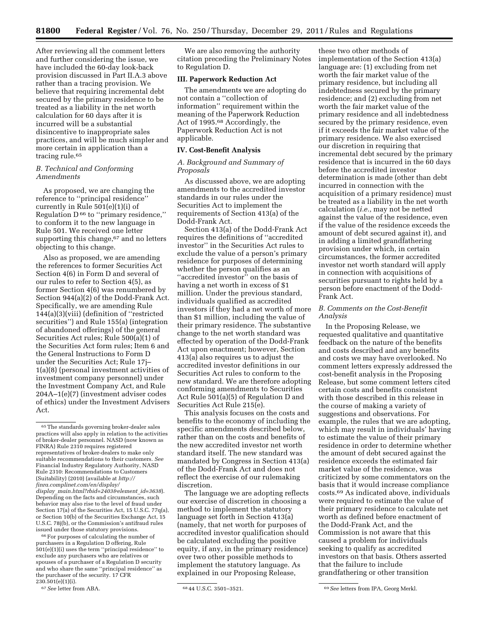After reviewing all the comment letters and further considering the issue, we have included the 60-day look-back provision discussed in Part II.A.3 above rather than a tracing provision. We believe that requiring incremental debt secured by the primary residence to be treated as a liability in the net worth calculation for 60 days after it is incurred will be a substantial disincentive to inappropriate sales practices, and will be much simpler and more certain in application than a tracing rule.65

# *B. Technical and Conforming Amendments*

As proposed, we are changing the reference to ''principal residence'' currently in Rule 501(e)(1)(i) of Regulation D 66 to ''primary residence,'' to conform it to the new language in Rule 501. We received one letter supporting this change,<sup>67</sup> and no letters objecting to this change.

Also as proposed, we are amending the references to former Securities Act Section 4(6) in Form D and several of our rules to refer to Section 4(5), as former Section 4(6) was renumbered by Section 944(a)(2) of the Dodd-Frank Act. Specifically, we are amending Rule 144(a)(3)(viii) (definition of ''restricted securities'') and Rule 155(a) (integration of abandoned offerings) of the general Securities Act rules; Rule 500(a)(1) of the Securities Act form rules; Item 6 and the General Instructions to Form D under the Securities Act; Rule 17j– 1(a)(8) (personal investment activities of investment company personnel) under the Investment Company Act, and Rule 204A–1(e)(7) (investment adviser codes of ethics) under the Investment Advisers Act.

behavior may also rise to the level of fraud under Section 17(a) of the Securities Act, 15 U.S.C. 77q(a), or Section 10(b) of the Securities Exchange Act, 15 U.S.C. 78j(b), or the Commission's antifraud rules issued under those statutory provisions.

 $^{66}\rm{For}$  purposes of calculating the number of purchasers in a Regulation D offering, Rule 501(e)(1)(i) uses the term ''principal residence'' to exclude any purchasers who are relatives or spouses of a purchaser of a Regulation D security and who share the same ''principal residence'' as the purchaser of the security. 17 CFR 230.501(e)(1)(i).

We are also removing the authority citation preceding the Preliminary Notes to Regulation D.

# **III. Paperwork Reduction Act**

The amendments we are adopting do not contain a ''collection of information'' requirement within the meaning of the Paperwork Reduction Act of 1995.68 Accordingly, the Paperwork Reduction Act is not applicable.

## **IV. Cost-Benefit Analysis**

# *A. Background and Summary of Proposals*

As discussed above, we are adopting amendments to the accredited investor standards in our rules under the Securities Act to implement the requirements of Section 413(a) of the Dodd-Frank Act.

Section 413(a) of the Dodd-Frank Act requires the definitions of ''accredited investor'' in the Securities Act rules to exclude the value of a person's primary residence for purposes of determining whether the person qualifies as an ''accredited investor'' on the basis of having a net worth in excess of \$1 million. Under the previous standard, individuals qualified as accredited investors if they had a net worth of more than \$1 million, including the value of their primary residence. The substantive change to the net worth standard was effected by operation of the Dodd-Frank Act upon enactment; however, Section 413(a) also requires us to adjust the accredited investor definitions in our Securities Act rules to conform to the new standard. We are therefore adopting conforming amendments to Securities Act Rule 501(a)(5) of Regulation D and Securities Act Rule 215(e).

This analysis focuses on the costs and benefits to the economy of including the specific amendments described below, rather than on the costs and benefits of the new accredited investor net worth standard itself. The new standard was mandated by Congress in Section 413(a) of the Dodd-Frank Act and does not reflect the exercise of our rulemaking discretion.

The language we are adopting reflects our exercise of discretion in choosing a method to implement the statutory language set forth in Section 413(a) (namely, that net worth for purposes of accredited investor qualification should be calculated excluding the positive equity, if any, in the primary residence) over two other possible methods to implement the statutory language. As explained in our Proposing Release,

these two other methods of implementation of the Section 413(a) language are: (1) excluding from net worth the fair market value of the primary residence, but including all indebtedness secured by the primary residence; and (2) excluding from net worth the fair market value of the primary residence and all indebtedness secured by the primary residence, even if it exceeds the fair market value of the primary residence. We also exercised our discretion in requiring that incremental debt secured by the primary residence that is incurred in the 60 days before the accredited investor determination is made (other than debt incurred in connection with the acquisition of a primary residence) must be treated as a liability in the net worth calculation (*i.e.,* may not be netted against the value of the residence, even if the value of the residence exceeds the amount of debt secured against it), and in adding a limited grandfathering provision under which, in certain circumstances, the former accredited investor net worth standard will apply in connection with acquisitions of securities pursuant to rights held by a person before enactment of the Dodd-Frank Act.

# *B. Comments on the Cost-Benefit Analysis*

In the Proposing Release, we requested qualitative and quantitative feedback on the nature of the benefits and costs described and any benefits and costs we may have overlooked. No comment letters expressly addressed the cost-benefit analysis in the Proposing Release, but some comment letters cited certain costs and benefits consistent with those described in this release in the course of making a variety of suggestions and observations. For example, the rules that we are adopting, which may result in individuals' having to estimate the value of their primary residence in order to determine whether the amount of debt secured against the residence exceeds the estimated fair market value of the residence, was criticized by some commentators on the basis that it would increase compliance costs.69 As indicated above, individuals were required to estimate the value of their primary residence to calculate net worth as defined before enactment of the Dodd-Frank Act, and the Commission is not aware that this caused a problem for individuals seeking to qualify as accredited investors on that basis. Others asserted that the failure to include grandfathering or other transition

 $\rm ^{65}$  The standards governing broker-dealer sales practices will also apply in relation to the activities of broker-dealer personnel. NASD (now known as FINRA) Rule 2310 requires registered representatives of broker-dealers to make only suitable recommendations to their customers. *See*  Financial Industry Regulatory Authority, NASD Rule 2310: Recommendations to Customers (Suitability) (2010) (available at *[http://](http://finra.complinet.com/en/display/display_main.html?rbid=2403&element_id=3638)  [finra.complinet.com/en/display/](http://finra.complinet.com/en/display/display_main.html?rbid=2403&element_id=3638)  display*\_*[main.html?rbid=2403&element](http://finra.complinet.com/en/display/display_main.html?rbid=2403&element_id=3638)*\_*id=3638*). Depending on the facts and circumstances, such

<sup>67</sup>*See* letter from ABA. 68 44 U.S.C. 3501–3521. 69*See* letters from IPA, Georg Merkl.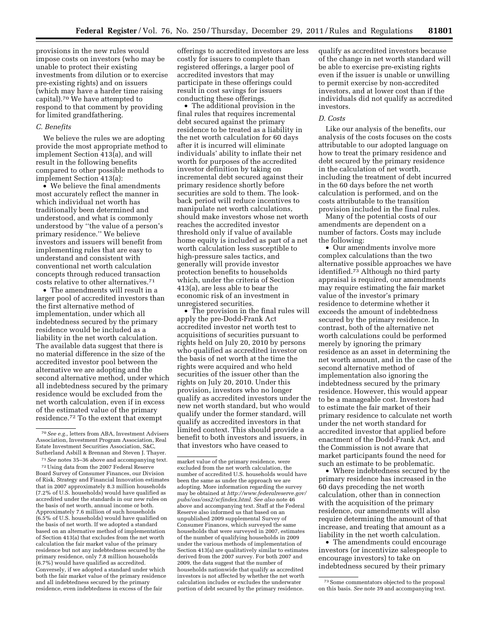provisions in the new rules would impose costs on investors (who may be unable to protect their existing investments from dilution or to exercise pre-existing rights) and on issuers (which may have a harder time raising capital).70 We have attempted to respond to that comment by providing for limited grandfathering.

## *C. Benefits*

We believe the rules we are adopting provide the most appropriate method to implement Section 413(a), and will result in the following benefits compared to other possible methods to implement Section 413(a):

• We believe the final amendments most accurately reflect the manner in which individual net worth has traditionally been determined and understood, and what is commonly understood by ''the value of a person's primary residence.'' We believe investors and issuers will benefit from implementing rules that are easy to understand and consistent with conventional net worth calculation concepts through reduced transaction costs relative to other alternatives.71

• The amendments will result in a larger pool of accredited investors than the first alternative method of implementation, under which all indebtedness secured by the primary residence would be included as a liability in the net worth calculation. The available data suggest that there is no material difference in the size of the accredited investor pool between the alternative we are adopting and the second alternative method, under which all indebtedness secured by the primary residence would be excluded from the net worth calculation, even if in excess of the estimated value of the primary residence.72 To the extent that exempt

offerings to accredited investors are less costly for issuers to complete than registered offerings, a larger pool of accredited investors that may participate in these offerings could result in cost savings for issuers conducting these offerings.

• The additional provision in the final rules that requires incremental debt secured against the primary residence to be treated as a liability in the net worth calculation for 60 days after it is incurred will eliminate individuals' ability to inflate their net worth for purposes of the accredited investor definition by taking on incremental debt secured against their primary residence shortly before securities are sold to them. The lookback period will reduce incentives to manipulate net worth calculations, should make investors whose net worth reaches the accredited investor threshold only if value of available home equity is included as part of a net worth calculation less susceptible to high-pressure sales tactics, and generally will provide investor protection benefits to households which, under the criteria of Section 413(a), are less able to bear the economic risk of an investment in unregistered securities.

• The provision in the final rules will apply the pre-Dodd-Frank Act accredited investor net worth test to acquisitions of securities pursuant to rights held on July 20, 2010 by persons who qualified as accredited investor on the basis of net worth at the time the rights were acquired and who held securities of the issuer other than the rights on July 20, 2010. Under this provision, investors who no longer qualify as accredited investors under the new net worth standard, but who would qualify under the former standard, will qualify as accredited investors in that limited context. This should provide a benefit to both investors and issuers, in that investors who have ceased to

qualify as accredited investors because of the change in net worth standard will be able to exercise pre-existing rights even if the issuer is unable or unwilling to permit exercise by non-accredited investors, and at lower cost than if the individuals did not qualify as accredited investors.

## *D. Costs*

Like our analysis of the benefits, our analysis of the costs focuses on the costs attributable to our adopted language on how to treat the primary residence and debt secured by the primary residence in the calculation of net worth, including the treatment of debt incurred in the 60 days before the net worth calculation is performed, and on the costs attributable to the transition provision included in the final rules.

Many of the potential costs of our amendments are dependent on a number of factors. Costs may include the following:

• Our amendments involve more complex calculations than the two alternative possible approaches we have identified.73 Although no third party appraisal is required, our amendments may require estimating the fair market value of the investor's primary residence to determine whether it exceeds the amount of indebtedness secured by the primary residence. In contrast, both of the alternative net worth calculations could be performed merely by ignoring the primary residence as an asset in determining the net worth amount, and in the case of the second alternative method of implementation also ignoring the indebtedness secured by the primary residence. However, this would appear to be a manageable cost. Investors had to estimate the fair market of their primary residence to calculate net worth under the net worth standard for accredited investor that applied before enactment of the Dodd-Frank Act, and the Commission is not aware that market participants found the need for such an estimate to be problematic.

• Where indebtedness secured by the primary residence has increased in the 60 days preceding the net worth calculation, other than in connection with the acquisition of the primary residence, our amendments will also require determining the amount of that increase, and treating that amount as a liability in the net worth calculation.

• The amendments could encourage investors (or incentivize salespeople to encourage investors) to take on indebtedness secured by their primary

<sup>70</sup>*See e.g.,* letters from ABA, Investment Advisers Association, Investment Program Association, Real Estate Investment Securities Association, S&C, Sutherland Asbill & Brennan and Steven J. Thayer.

<sup>71</sup>*See* notes 35–36 above and accompanying text. 72Using data from the 2007 Federal Reserve Board Survey of Consumer Finances, our Division of Risk, Strategy and Financial Innovation estimates that in 2007 approximately 8.3 million households (7.2% of U.S. households) would have qualified as accredited under the standards in our new rules on the basis of net worth, annual income or both. Approximately 7.6 million of such households (6.5% of U.S. households) would have qualified on the basis of net worth. If we adopted a standard based on an alternative method of implementation of Section 413(a) that excludes from the net worth calculation the fair market value of the primary residence but not any indebtedness secured by the primary residence, only 7.8 million households (6.7%) would have qualified as accredited. Conversely, if we adopted a standard under which both the fair market value of the primary residence and all indebtedness secured by the primary residence, even indebtedness in excess of the fair

market value of the primary residence, were excluded from the net worth calculation, the number of accredited U.S. households would have been the same as under the approach we are adopting. More information regarding the survey may be obtained at *[http://www.federalreserve.gov/](http://www.federalreserve.gov/pubs/oss/oss2/scfindex.html)  [pubs/oss/oss2/scfindex.html.](http://www.federalreserve.gov/pubs/oss/oss2/scfindex.html) See also* note 46 above and accompanying text. Staff at the Federal Reserve also informed us that based on an unpublished 2009 supplemental Survey of Consumer Finances, which surveyed the same households that were surveyed in 2007, estimates of the number of qualifying households in 2009 under the various methods of implementation of Section 413(a) are qualitatively similar to estimates derived from the 2007 survey. For both 2007 and 2009, the data suggest that the number of households nationwide that qualify as accredited investors is not affected by whether the net worth calculation includes or excludes the underwater portion of debt secured by the primary residence.

<sup>73</sup>Some commentators objected to the proposal on this basis. *See* note 39 and accompanying text.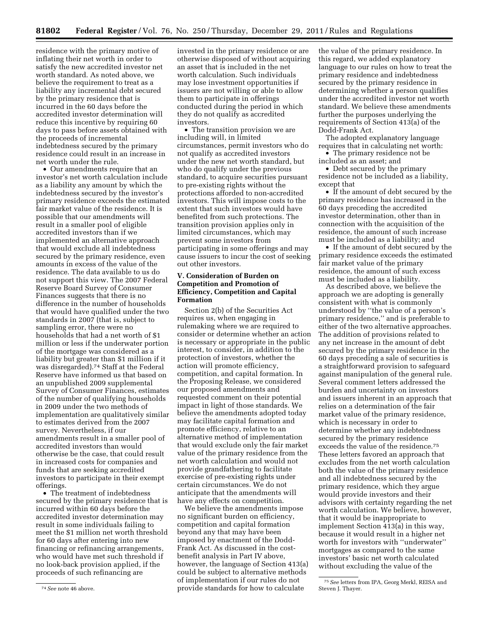residence with the primary motive of inflating their net worth in order to satisfy the new accredited investor net worth standard. As noted above, we believe the requirement to treat as a liability any incremental debt secured by the primary residence that is incurred in the 60 days before the accredited investor determination will reduce this incentive by requiring 60 days to pass before assets obtained with the proceeds of incremental indebtedness secured by the primary residence could result in an increase in net worth under the rule.

• Our amendments require that an investor's net worth calculation include as a liability any amount by which the indebtedness secured by the investor's primary residence exceeds the estimated fair market value of the residence. It is possible that our amendments will result in a smaller pool of eligible accredited investors than if we implemented an alternative approach that would exclude all indebtedness secured by the primary residence, even amounts in excess of the value of the residence. The data available to us do not support this view. The 2007 Federal Reserve Board Survey of Consumer Finances suggests that there is no difference in the number of households that would have qualified under the two standards in 2007 (that is, subject to sampling error, there were no households that had a net worth of \$1 million or less if the underwater portion of the mortgage was considered as a liability but greater than \$1 million if it was disregarded).74 Staff at the Federal Reserve have informed us that based on an unpublished 2009 supplemental Survey of Consumer Finances, estimates of the number of qualifying households in 2009 under the two methods of implementation are qualitatively similar to estimates derived from the 2007 survey. Nevertheless, if our amendments result in a smaller pool of accredited investors than would otherwise be the case, that could result in increased costs for companies and funds that are seeking accredited investors to participate in their exempt offerings.

• The treatment of indebtedness secured by the primary residence that is incurred within 60 days before the accredited investor determination may result in some individuals failing to meet the \$1 million net worth threshold for 60 days after entering into new financing or refinancing arrangements, who would have met such threshold if no look-back provision applied, if the proceeds of such refinancing are

invested in the primary residence or are otherwise disposed of without acquiring an asset that is included in the net worth calculation. Such individuals may lose investment opportunities if issuers are not willing or able to allow them to participate in offerings conducted during the period in which they do not qualify as accredited investors.

• The transition provision we are including will, in limited circumstances, permit investors who do not qualify as accredited investors under the new net worth standard, but who do qualify under the previous standard, to acquire securities pursuant to pre-existing rights without the protections afforded to non-accredited investors. This will impose costs to the extent that such investors would have benefited from such protections. The transition provision applies only in limited circumstances, which may prevent some investors from participating in some offerings and may cause issuers to incur the cost of seeking out other investors.

# **V. Consideration of Burden on Competition and Promotion of Efficiency, Competition and Capital Formation**

Section 2(b) of the Securities Act requires us, when engaging in rulemaking where we are required to consider or determine whether an action is necessary or appropriate in the public interest, to consider, in addition to the protection of investors, whether the action will promote efficiency, competition, and capital formation. In the Proposing Release, we considered our proposed amendments and requested comment on their potential impact in light of those standards. We believe the amendments adopted today may facilitate capital formation and promote efficiency, relative to an alternative method of implementation that would exclude only the fair market value of the primary residence from the net worth calculation and would not provide grandfathering to facilitate exercise of pre-existing rights under certain circumstances. We do not anticipate that the amendments will have any effects on competition.

We believe the amendments impose no significant burden on efficiency, competition and capital formation beyond any that may have been imposed by enactment of the Dodd-Frank Act. As discussed in the costbenefit analysis in Part IV above, however, the language of Section 413(a) could be subject to alternative methods of implementation if our rules do not provide standards for how to calculate

the value of the primary residence. In this regard, we added explanatory language to our rules on how to treat the primary residence and indebtedness secured by the primary residence in determining whether a person qualifies under the accredited investor net worth standard. We believe these amendments further the purposes underlying the requirements of Section 413(a) of the Dodd-Frank Act.

The adopted explanatory language requires that in calculating net worth:

• The primary residence not be included as an asset; and

• Debt secured by the primary residence not be included as a liability, except that

• If the amount of debt secured by the primary residence has increased in the 60 days preceding the accredited investor determination, other than in connection with the acquisition of the residence, the amount of such increase must be included as a liability; and

• If the amount of debt secured by the primary residence exceeds the estimated fair market value of the primary residence, the amount of such excess must be included as a liability.

As described above, we believe the approach we are adopting is generally consistent with what is commonly understood by ''the value of a person's primary residence,'' and is preferable to either of the two alternative approaches. The addition of provisions related to any net increase in the amount of debt secured by the primary residence in the 60 days preceding a sale of securities is a straightforward provision to safeguard against manipulation of the general rule. Several comment letters addressed the burden and uncertainty on investors and issuers inherent in an approach that relies on a determination of the fair market value of the primary residence, which is necessary in order to determine whether any indebtedness secured by the primary residence exceeds the value of the residence.75 These letters favored an approach that excludes from the net worth calculation both the value of the primary residence and all indebtedness secured by the primary residence, which they argue would provide investors and their advisors with certainty regarding the net worth calculation. We believe, however, that it would be inappropriate to implement Section 413(a) in this way, because it would result in a higher net worth for investors with ''underwater'' mortgages as compared to the same investors' basic net worth calculated without excluding the value of the

<sup>74</sup>*See* note 46 above.

<sup>75</sup>*See* letters from IPA, Georg Merkl, REISA and Steven J. Thayer.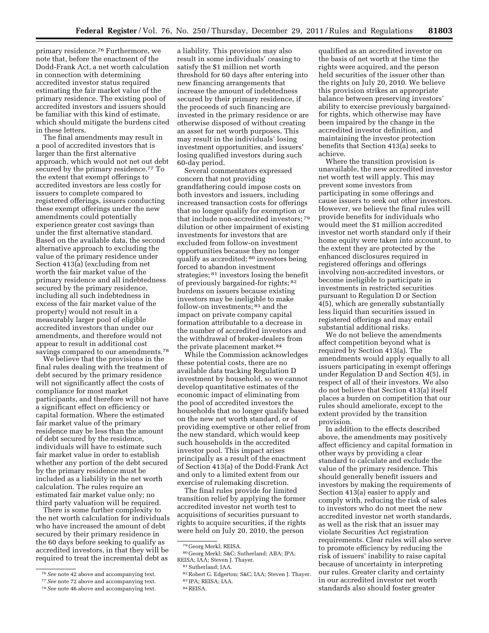primary residence.76 Furthermore, we note that, before the enactment of the Dodd-Frank Act, a net worth calculation in connection with determining accredited investor status required estimating the fair market value of the primary residence. The existing pool of accredited investors and issuers should be familiar with this kind of estimate, which should mitigate the burdens cited in these letters.

The final amendments may result in a pool of accredited investors that is larger than the first alternative approach, which would not net out debt secured by the primary residence.<sup>77</sup> To the extent that exempt offerings to accredited investors are less costly for issuers to complete compared to registered offerings, issuers conducting these exempt offerings under the new amendments could potentially experience greater cost savings than under the first alternative standard. Based on the available data, the second alternative approach to excluding the value of the primary residence under Section 413(a) (excluding from net worth the fair market value of the primary residence and all indebtedness secured by the primary residence, including all such indebtedness in excess of the fair market value of the property) would not result in a measurably larger pool of eligible accredited investors than under our amendments, and therefore would not appear to result in additional cost savings compared to our amendments.<sup>78</sup>

We believe that the provisions in the final rules dealing with the treatment of debt secured by the primary residence will not significantly affect the costs of compliance for most market participants, and therefore will not have a significant effect on efficiency or capital formation. Where the estimated fair market value of the primary residence may be less than the amount of debt secured by the residence, individuals will have to estimate such fair market value in order to establish whether any portion of the debt secured by the primary residence must be included as a liability in the net worth calculation. The rules require an estimated fair market value only; no third party valuation will be required.

There is some further complexity to the net worth calculation for individuals who have increased the amount of debt secured by their primary residence in the 60 days before seeking to qualify as accredited investors, in that they will be required to treat the incremental debt as

a liability. This provision may also result in some individuals' ceasing to satisfy the \$1 million net worth threshold for 60 days after entering into new financing arrangements that increase the amount of indebtedness secured by their primary residence, if the proceeds of such financing are invested in the primary residence or are otherwise disposed of without creating an asset for net worth purposes. This may result in the individuals' losing investment opportunities, and issuers' losing qualified investors during such 60-day period.

Several commentators expressed concern that not providing grandfathering could impose costs on both investors and issuers, including increased transaction costs for offerings that no longer qualify for exemption or that include non-accredited investors; 79 dilution or other impairment of existing investments for investors that are excluded from follow-on investment opportunities because they no longer qualify as accredited; 80 investors being forced to abandon investment strategies; 81 investors losing the benefit of previously bargained-for rights; 82 burdens on issuers because existing investors may be ineligible to make follow-on investments; 83 and the impact on private company capital formation attributable to a decrease in the number of accredited investors and the withdrawal of broker-dealers from the private placement market.84

While the Commission acknowledges these potential costs, there are no available data tracking Regulation D investment by household, so we cannot develop quantitative estimates of the economic impact of eliminating from the pool of accredited investors the households that no longer qualify based on the new net worth standard, or of providing exemptive or other relief from the new standard, which would keep such households in the accredited investor pool. This impact arises principally as a result of the enactment of Section 413(a) of the Dodd-Frank Act and only to a limited extent from our exercise of rulemaking discretion.

The final rules provide for limited transition relief by applying the former accredited investor net worth test to acquisitions of securities pursuant to rights to acquire securities, if the rights were held on July 20, 2010, the person

qualified as an accredited investor on the basis of net worth at the time the rights were acquired, and the person held securities of the issuer other than the rights on July 20, 2010. We believe this provision strikes an appropriate balance between preserving investors' ability to exercise previously bargainedfor rights, which otherwise may have been impaired by the change in the accredited investor definition, and maintaining the investor protection benefits that Section 413(a) seeks to achieve.

Where the transition provision is unavailable, the new accredited investor net worth test will apply. This may prevent some investors from participating in some offerings and cause issuers to seek out other investors. However, we believe the final rules will provide benefits for individuals who would meet the \$1 million accredited investor net worth standard only if their home equity were taken into account, to the extent they are protected by the enhanced disclosures required in registered offerings and offerings involving non-accredited investors, or become ineligible to participate in investments in restricted securities pursuant to Regulation D or Section 4(5), which are generally substantially less liquid than securities issued in registered offerings and may entail substantial additional risks.

We do not believe the amendments affect competition beyond what is required by Section 413(a). The amendments would apply equally to all issuers participating in exempt offerings under Regulation D and Section 4(5), in respect of all of their investors. We also do not believe that Section 413(a) itself places a burden on competition that our rules should ameliorate, except to the extent provided by the transition provision.

In addition to the effects described above, the amendments may positively affect efficiency and capital formation in other ways by providing a clear standard to calculate and exclude the value of the primary residence. This should generally benefit issuers and investors by making the requirements of Section 413(a) easier to apply and comply with, reducing the risk of sales to investors who do not meet the new accredited investor net worth standards, as well as the risk that an issuer may violate Securities Act registration requirements. Clear rules will also serve to promote efficiency by reducing the risk of issuers' inability to raise capital because of uncertainty in interpreting our rules. Greater clarity and certainty in our accredited investor net worth standards also should foster greater

<sup>76</sup>*See* note 42 above and accompanying text.

<sup>77</sup>*See* note 72 above and accompanying text.

<sup>78</sup>*See* note 46 above and accompanying text.

<sup>79</sup> Georg Merkl; REISA.

<sup>80</sup> Georg Merkl; S&C; Sutherland; ABA; IPA; REISA; IAA; Steven J. Thayer.

<sup>81</sup>Sutherland; IAA.

<sup>82</sup>Robert G. Edgerton; S&C; IAA; Steven J. Thayer. 83 IPA; REISA; IAA.

<sup>84</sup>REISA.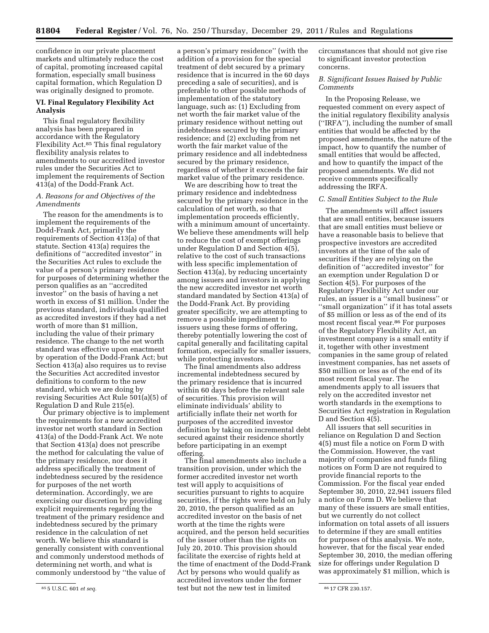confidence in our private placement markets and ultimately reduce the cost of capital, promoting increased capital formation, especially small business capital formation, which Regulation D was originally designed to promote.

# **VI. Final Regulatory Flexibility Act Analysis**

This final regulatory flexibility analysis has been prepared in accordance with the Regulatory Flexibility Act.85 This final regulatory flexibility analysis relates to amendments to our accredited investor rules under the Securities Act to implement the requirements of Section 413(a) of the Dodd-Frank Act.

# *A. Reasons for and Objectives of the Amendments*

The reason for the amendments is to implement the requirements of the Dodd-Frank Act, primarily the requirements of Section 413(a) of that statute. Section 413(a) requires the definitions of ''accredited investor'' in the Securities Act rules to exclude the value of a person's primary residence for purposes of determining whether the person qualifies as an ''accredited investor'' on the basis of having a net worth in excess of \$1 million. Under the previous standard, individuals qualified as accredited investors if they had a net worth of more than \$1 million, including the value of their primary residence. The change to the net worth standard was effective upon enactment by operation of the Dodd-Frank Act; but Section 413(a) also requires us to revise the Securities Act accredited investor definitions to conform to the new standard, which we are doing by revising Securities Act Rule 501(a)(5) of Regulation D and Rule 215(e).

Our primary objective is to implement the requirements for a new accredited investor net worth standard in Section 413(a) of the Dodd-Frank Act. We note that Section 413(a) does not prescribe the method for calculating the value of the primary residence, nor does it address specifically the treatment of indebtedness secured by the residence for purposes of the net worth determination. Accordingly, we are exercising our discretion by providing explicit requirements regarding the treatment of the primary residence and indebtedness secured by the primary residence in the calculation of net worth. We believe this standard is generally consistent with conventional and commonly understood methods of determining net worth, and what is commonly understood by ''the value of

a person's primary residence'' (with the addition of a provision for the special treatment of debt secured by a primary residence that is incurred in the 60 days preceding a sale of securities), and is preferable to other possible methods of implementation of the statutory language, such as: (1) Excluding from net worth the fair market value of the primary residence without netting out indebtedness secured by the primary residence; and (2) excluding from net worth the fair market value of the primary residence and all indebtedness secured by the primary residence, regardless of whether it exceeds the fair market value of the primary residence.

We are describing how to treat the primary residence and indebtedness secured by the primary residence in the calculation of net worth, so that implementation proceeds efficiently, with a minimum amount of uncertainty. We believe these amendments will help to reduce the cost of exempt offerings under Regulation D and Section 4(5), relative to the cost of such transactions with less specific implementation of Section 413(a), by reducing uncertainty among issuers and investors in applying the new accredited investor net worth standard mandated by Section 413(a) of the Dodd-Frank Act. By providing greater specificity, we are attempting to remove a possible impediment to issuers using these forms of offering, thereby potentially lowering the cost of capital generally and facilitating capital formation, especially for smaller issuers, while protecting investors.

The final amendments also address incremental indebtedness secured by the primary residence that is incurred within 60 days before the relevant sale of securities. This provision will eliminate individuals' ability to artificially inflate their net worth for purposes of the accredited investor definition by taking on incremental debt secured against their residence shortly before participating in an exempt offering.

85 5 U.S.C. 601 *et seq.* 86 17 CFR 230.157. test but not the new test in limited The final amendments also include a transition provision, under which the former accredited investor net worth test will apply to acquisitions of securities pursuant to rights to acquire securities, if the rights were held on July 20, 2010, the person qualified as an accredited investor on the basis of net worth at the time the rights were acquired, and the person held securities of the issuer other than the rights on July 20, 2010. This provision should facilitate the exercise of rights held at the time of enactment of the Dodd-Frank Act by persons who would qualify as accredited investors under the former

circumstances that should not give rise to significant investor protection concerns.

# *B. Significant Issues Raised by Public Comments*

In the Proposing Release, we requested comment on every aspect of the initial regulatory flexibility analysis (''IRFA''), including the number of small entities that would be affected by the proposed amendments, the nature of the impact, how to quantify the number of small entities that would be affected, and how to quantify the impact of the proposed amendments. We did not receive comments specifically addressing the IRFA.

## *C. Small Entities Subject to the Rule*

The amendments will affect issuers that are small entities, because issuers that are small entities must believe or have a reasonable basis to believe that prospective investors are accredited investors at the time of the sale of securities if they are relying on the definition of ''accredited investor'' for an exemption under Regulation D or Section 4(5). For purposes of the Regulatory Flexibility Act under our rules, an issuer is a ''small business'' or ''small organization'' if it has total assets of \$5 million or less as of the end of its most recent fiscal year.86 For purposes of the Regulatory Flexibility Act, an investment company is a small entity if it, together with other investment companies in the same group of related investment companies, has net assets of \$50 million or less as of the end of its most recent fiscal year. The amendments apply to all issuers that rely on the accredited investor net worth standards in the exemptions to Securities Act registration in Regulation D and Section 4(5).

All issuers that sell securities in reliance on Regulation D and Section 4(5) must file a notice on Form D with the Commission. However, the vast majority of companies and funds filing notices on Form D are not required to provide financial reports to the Commission. For the fiscal year ended September 30, 2010, 22,941 issuers filed a notice on Form D. We believe that many of these issuers are small entities, but we currently do not collect information on total assets of all issuers to determine if they are small entities for purposes of this analysis. We note, however, that for the fiscal year ended September 30, 2010, the median offering size for offerings under Regulation D was approximately \$1 million, which is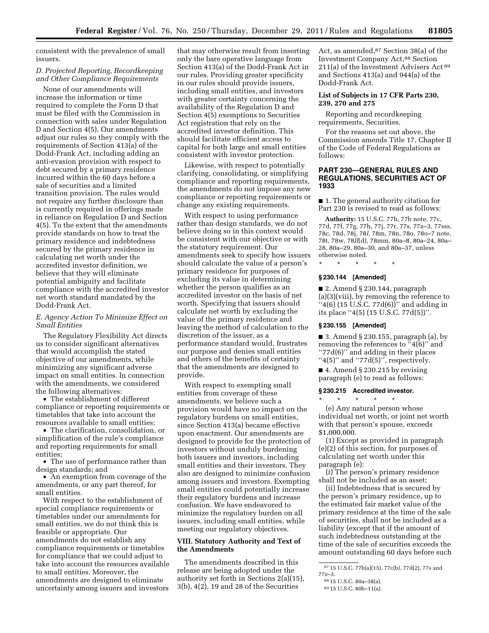consistent with the prevalence of small issuers.

# *D. Projected Reporting, Recordkeeping and Other Compliance Requirements*

None of our amendments will increase the information or time required to complete the Form D that must be filed with the Commission in connection with sales under Regulation D and Section 4(5). Our amendments adjust our rules so they comply with the requirements of Section 413(a) of the Dodd-Frank Act, including adding an anti-evasion provision with respect to debt secured by a primary residence incurred within the 60 days before a sale of securities and a limited transition provision. The rules would not require any further disclosure than is currently required in offerings made in reliance on Regulation D and Section 4(5). To the extent that the amendments provide standards on how to treat the primary residence and indebtedness secured by the primary residence in calculating net worth under the accredited investor definition, we believe that they will eliminate potential ambiguity and facilitate compliance with the accredited investor net worth standard mandated by the Dodd-Frank Act.

# *E. Agency Action To Minimize Effect on Small Entities*

The Regulatory Flexibility Act directs us to consider significant alternatives that would accomplish the stated objective of our amendments, while minimizing any significant adverse impact on small entities. In connection with the amendments, we considered the following alternatives:

• The establishment of different compliance or reporting requirements or timetables that take into account the resources available to small entities;

• The clarification, consolidation, or simplification of the rule's compliance and reporting requirements for small entities;

• The use of performance rather than design standards; and

• An exemption from coverage of the amendments, or any part thereof, for small entities.

With respect to the establishment of special compliance requirements or timetables under our amendments for small entities, we do not think this is feasible or appropriate. Our amendments do not establish any compliance requirements or timetables for compliance that we could adjust to take into account the resources available to small entities. Moreover, the amendments are designed to eliminate uncertainty among issuers and investors

that may otherwise result from inserting only the bare operative language from Section 413(a) of the Dodd-Frank Act in our rules. Providing greater specificity in our rules should provide issuers, including small entities, and investors with greater certainty concerning the availability of the Regulation D and Section 4(5) exemptions to Securities Act registration that rely on the accredited investor definition. This should facilitate efficient access to capital for both large and small entities consistent with investor protection.

Likewise, with respect to potentially clarifying, consolidating, or simplifying compliance and reporting requirements, the amendments do not impose any new compliance or reporting requirements or change any existing requirements.

With respect to using performance rather than design standards, we do not believe doing so in this context would be consistent with our objective or with the statutory requirement. Our amendments seek to specify how issuers should calculate the value of a person's primary residence for purposes of excluding its value in determining whether the person qualifies as an accredited investor on the basis of net worth. Specifying that issuers should calculate net worth by excluding the value of the primary residence and leaving the method of calculation to the discretion of the issuer, as a performance standard would, frustrates our purpose and denies small entities and others of the benefits of certainty that the amendments are designed to provide.

With respect to exempting small entities from coverage of these amendments, we believe such a provision would have no impact on the regulatory burdens on small entities, since Section 413(a) became effective upon enactment. Our amendments are designed to provide for the protection of investors without unduly burdening both issuers and investors, including small entities and their investors. They also are designed to minimize confusion among issuers and investors. Exempting small entities could potentially increase their regulatory burdens and increase confusion. We have endeavored to minimize the regulatory burden on all issuers, including small entities, while meeting our regulatory objectives.

## **VIII. Statutory Authority and Text of the Amendments**

The amendments described in this release are being adopted under the authority set forth in Sections 2(a)(15), 3(b), 4(2), 19 and 28 of the Securities

Act, as amended,87 Section 38(a) of the Investment Company Act,88 Section 211(a) of the Investment Advisers Act 89 and Sections 413(a) and 944(a) of the Dodd-Frank Act.

# **List of Subjects in 17 CFR Parts 230, 239, 270 and 275**

Reporting and recordkeeping requirements, Securities.

For the reasons set out above, the Commission amends Title 17, Chapter II of the Code of Federal Regulations as follows:

# **PART 230—GENERAL RULES AND REGULATIONS, SECURITIES ACT OF 1933**

■ 1. The general authority citation for Part 230 is revised to read as follows:

**Authority:** 15 U.S.C. 77b, 77b note, 77c, 77d, 77f, 77g, 77h, 77j, 77r, 77s, 77z–3, 77sss, 78c, 78d, 78j, 78*l,* 78m, 78n, 78o, 78o–7 note, 78t, 78w, 78*ll*(d), 78mm, 80a–8, 80a–24, 80a– 28, 80a–29, 80a–30, and 80a–37, unless otherwise noted.

\* \* \* \* \*

#### **§ 230.144 [Amended]**

■ 2. Amend § 230.144, paragraph (a)(3)(viii), by removing the reference to  $"4(6)$  (15 U.S.C. 77 $d(6)$ )" and adding in its place ''4(5) (15 U.S.C. 77d(5))''.

#### **§ 230.155 [Amended]**

■ 3. Amend § 230.155, paragraph (a), by removing the references to "4(6)" and ''77d(6)'' and adding in their places " $4(5)$ " and " $77d(5)$ ", respectively.

 $\blacksquare$  4. Amend § 230.215 by revising paragraph (e) to read as follows:

# **§ 230.215 Accredited investor.**

\* \* \* \* \* (e) Any natural person whose individual net worth, or joint net worth with that person's spouse, exceeds \$1,000,000.

(1) Except as provided in paragraph (e)(2) of this section, for purposes of calculating net worth under this paragraph (e):

(i) The person's primary residence shall not be included as an asset;

(ii) Indebtedness that is secured by the person's primary residence, up to the estimated fair market value of the primary residence at the time of the sale of securities, shall not be included as a liability (except that if the amount of such indebtedness outstanding at the time of the sale of securities exceeds the amount outstanding 60 days before such

<sup>87</sup> 15 U.S.C. 77b(a)(15), 77c(b), 77d(2), 77s and

<sup>77</sup>z–3.

<sup>88</sup> 15 U.S.C. 80a–38(a). 89 15 U.S.C. 80b–11(a).